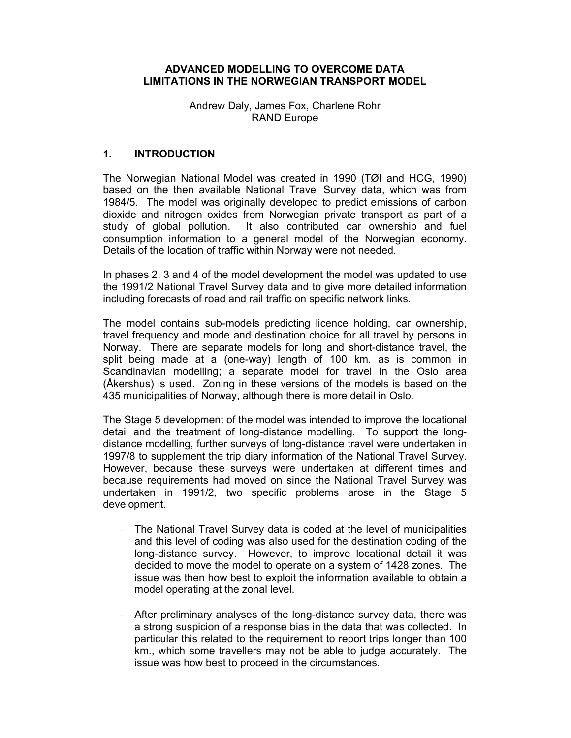#### ADVANCED MODELLING TO OVERCOME DATA LIMITATIONS IN THE NORWEGIAN TRANSPORT MODEL

Andrew Daly, James Fox, Charlene Rohr RAND Europe

### 1. INTRODUCTION

The Norwegian National Model was created in 1990 (TØI and HCG, 1990) based on the then available National Travel Survey data, which was from 1984/5. The model was originally developed to predict emissions of carbon dioxide and nitrogen oxides from Norwegian private transport as part of a study of global pollution. It also contributed car ownership and fuel consumption information to a general model of the Norwegian economy. Details of the location of traffic within Norway were not needed.

In phases 2, 3 and 4 of the model development the model was updated to use the 1991/2 National Travel Survey data and to give more detailed information including forecasts of road and rail traffic on specific network links.

The model contains sub-models predicting licence holding, car ownership, travel frequency and mode and destination choice for all travel by persons in Norway. There are separate models for long and short-distance travel, the split being made at a (one-way) length of 100 km. as is common in Scandinavian modelling; a separate model for travel in the Oslo area (Åkershus) is used. Zoning in these versions of the models is based on the 435 municipalities of Norway, although there is more detail in Oslo.

The Stage 5 development of the model was intended to improve the locational detail and the treatment of long-distance modelling. To support the longdistance modelling, further surveys of long-distance travel were undertaken in 1997/8 to supplement the trip diary information of the National Travel Survey. However, because these surveys were undertaken at different times and because requirements had moved on since the National Travel Survey was undertaken in 1991/2, two specific problems arose in the Stage 5 development.

- The National Travel Survey data is coded at the level of municipalities and this level of coding was also used for the destination coding of the long-distance survey. However, to improve locational detail it was decided to move the model to operate on a system of 1428 zones. The issue was then how best to exploit the information available to obtain a model operating at the zonal level.
- After preliminary analyses of the long-distance survey data, there was a strong suspicion of a response bias in the data that was collected. In particular this related to the requirement to report trips longer than 100 km., which some travellers may not be able to judge accurately. The issue was how best to proceed in the circumstances.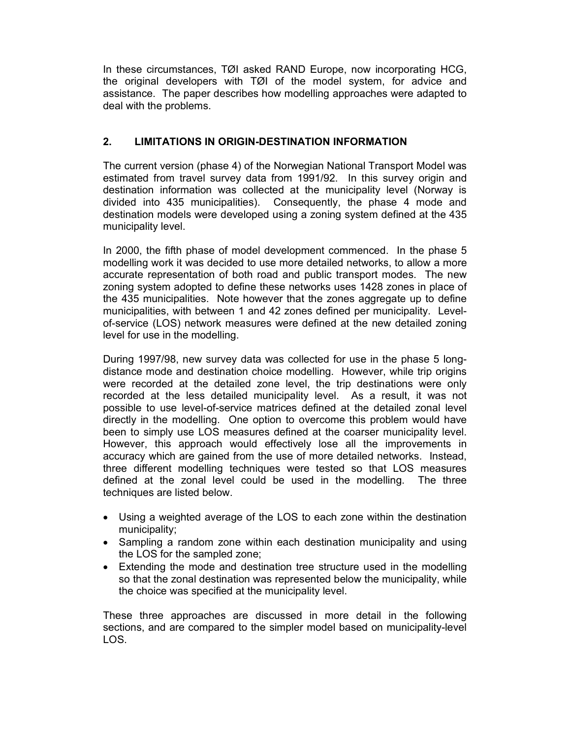In these circumstances, TØI asked RAND Europe, now incorporating HCG, the original developers with TØI of the model system, for advice and assistance. The paper describes how modelling approaches were adapted to deal with the problems.

## 2. LIMITATIONS IN ORIGIN-DESTINATION INFORMATION

The current version (phase 4) of the Norwegian National Transport Model was estimated from travel survey data from 1991/92. In this survey origin and destination information was collected at the municipality level (Norway is divided into 435 municipalities). Consequently, the phase 4 mode and destination models were developed using a zoning system defined at the 435 municipality level.

In 2000, the fifth phase of model development commenced. In the phase 5 modelling work it was decided to use more detailed networks, to allow a more accurate representation of both road and public transport modes. The new zoning system adopted to define these networks uses 1428 zones in place of the 435 municipalities. Note however that the zones aggregate up to define municipalities, with between 1 and 42 zones defined per municipality. Levelof-service (LOS) network measures were defined at the new detailed zoning level for use in the modelling.

During 1997/98, new survey data was collected for use in the phase 5 longdistance mode and destination choice modelling. However, while trip origins were recorded at the detailed zone level, the trip destinations were only recorded at the less detailed municipality level. As a result, it was not possible to use level-of-service matrices defined at the detailed zonal level directly in the modelling. One option to overcome this problem would have been to simply use LOS measures defined at the coarser municipality level. However, this approach would effectively lose all the improvements in accuracy which are gained from the use of more detailed networks. Instead, three different modelling techniques were tested so that LOS measures defined at the zonal level could be used in the modelling. The three techniques are listed below.

- Using a weighted average of the LOS to each zone within the destination municipality;
- Sampling a random zone within each destination municipality and using the LOS for the sampled zone;
- Extending the mode and destination tree structure used in the modelling so that the zonal destination was represented below the municipality, while the choice was specified at the municipality level.

These three approaches are discussed in more detail in the following sections, and are compared to the simpler model based on municipality-level LOS.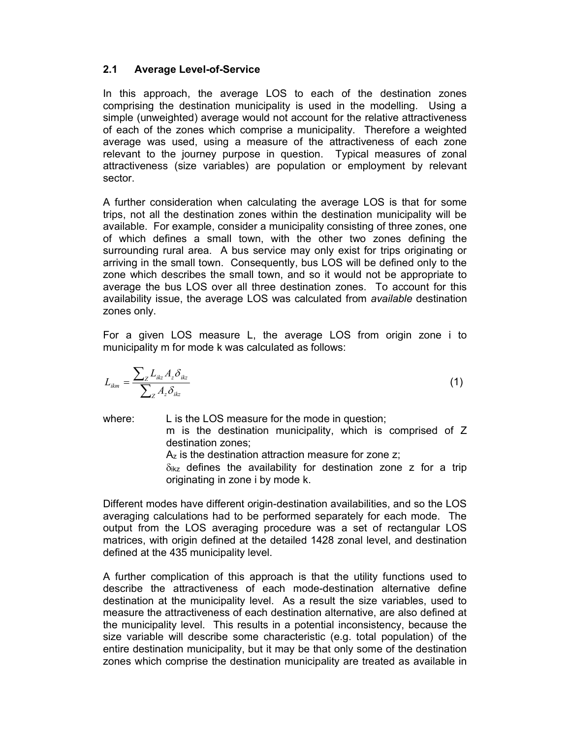# 2.1 Average Level-of-Service

In this approach, the average LOS to each of the destination zones comprising the destination municipality is used in the modelling. Using a simple (unweighted) average would not account for the relative attractiveness of each of the zones which comprise a municipality. Therefore a weighted average was used, using a measure of the attractiveness of each zone relevant to the journey purpose in question. Typical measures of zonal attractiveness (size variables) are population or employment by relevant sector.

A further consideration when calculating the average LOS is that for some trips, not all the destination zones within the destination municipality will be available. For example, consider a municipality consisting of three zones, one of which defines a small town, with the other two zones defining the surrounding rural area. A bus service may only exist for trips originating or arriving in the small town. Consequently, bus LOS will be defined only to the zone which describes the small town, and so it would not be appropriate to average the bus LOS over all three destination zones. To account for this availability issue, the average LOS was calculated from available destination zones only.

For a given LOS measure L, the average LOS from origin zone i to municipality m for mode k was calculated as follows:

$$
L_{ikm} = \frac{\sum_{Z} L_{ikz} A_z \delta_{ikz}}{\sum_{Z} A_z \delta_{ikz}}
$$
 (1)

where: L is the LOS measure for the mode in question; m is the destination municipality, which is comprised of Z destination zones;

Az is the destination attraction measure for zone z;

 $\delta_{ikz}$  defines the availability for destination zone z for a trip originating in zone i by mode k.

Different modes have different origin-destination availabilities, and so the LOS averaging calculations had to be performed separately for each mode. The output from the LOS averaging procedure was a set of rectangular LOS matrices, with origin defined at the detailed 1428 zonal level, and destination defined at the 435 municipality level.

A further complication of this approach is that the utility functions used to describe the attractiveness of each mode-destination alternative define destination at the municipality level. As a result the size variables, used to measure the attractiveness of each destination alternative, are also defined at the municipality level. This results in a potential inconsistency, because the size variable will describe some characteristic (e.g. total population) of the entire destination municipality, but it may be that only some of the destination zones which comprise the destination municipality are treated as available in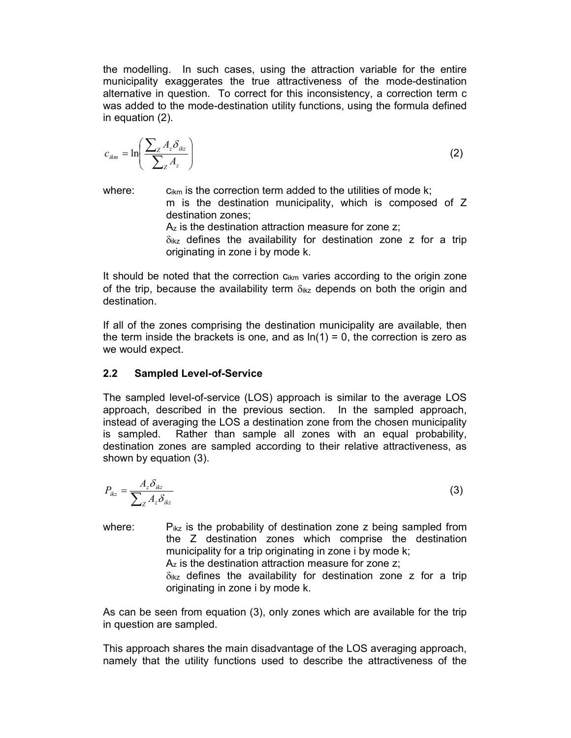the modelling. In such cases, using the attraction variable for the entire municipality exaggerates the true attractiveness of the mode-destination alternative in question. To correct for this inconsistency, a correction term c was added to the mode-destination utility functions, using the formula defined in equation (2).

$$
c_{ikm} = \ln\left(\frac{\sum_{Z} A_{z} \delta_{ikz}}{\sum_{Z} A_{z}}\right)
$$
 (2)

where:  $\qquad \qquad c_{ikm}$  is the correction term added to the utilities of mode k; m is the destination municipality, which is composed of Z destination zones;

Az is the destination attraction measure for zone z;

 $\delta_{ikz}$  defines the availability for destination zone z for a trip originating in zone i by mode k.

It should be noted that the correction  $c_{ikm}$  varies according to the origin zone of the trip, because the availability term  $\delta_{ikz}$  depends on both the origin and destination.

If all of the zones comprising the destination municipality are available, then the term inside the brackets is one, and as  $ln(1) = 0$ , the correction is zero as we would expect.

#### 2.2 Sampled Level-of-Service

The sampled level-of-service (LOS) approach is similar to the average LOS approach, described in the previous section. In the sampled approach, instead of averaging the LOS a destination zone from the chosen municipality is sampled. Rather than sample all zones with an equal probability, destination zones are sampled according to their relative attractiveness, as shown by equation (3).

$$
P_{ikz} = \frac{A_z \delta_{ikz}}{\sum_z A_z \delta_{ikz}}
$$
 (3)

where:  $P_{ikz}$  is the probability of destination zone z being sampled from the Z destination zones which comprise the destination municipality for a trip originating in zone i by mode k; Az is the destination attraction measure for zone z;  $\delta_{ikz}$  defines the availability for destination zone z for a trip originating in zone i by mode k.

As can be seen from equation (3), only zones which are available for the trip in question are sampled.

This approach shares the main disadvantage of the LOS averaging approach, namely that the utility functions used to describe the attractiveness of the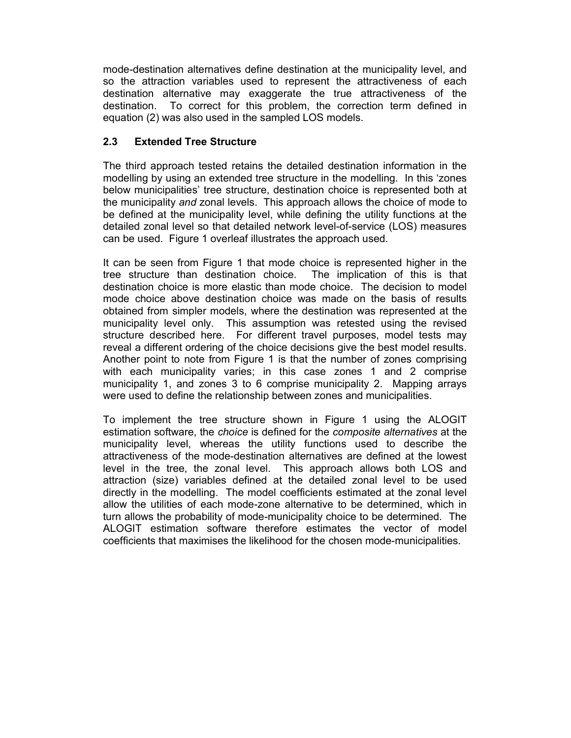mode-destination alternatives define destination at the municipality level, and so the attraction variables used to represent the attractiveness of each destination alternative may exaggerate the true attractiveness of the destination. To correct for this problem, the correction term defined in equation (2) was also used in the sampled LOS models.

### 2.3 Extended Tree Structure

The third approach tested retains the detailed destination information in the modelling by using an extended tree structure in the modelling. In this 'zones below municipalities' tree structure, destination choice is represented both at the municipality and zonal levels. This approach allows the choice of mode to be defined at the municipality level, while defining the utility functions at the detailed zonal level so that detailed network level-of-service (LOS) measures can be used. Figure 1 overleaf illustrates the approach used.

It can be seen from Figure 1 that mode choice is represented higher in the tree structure than destination choice. The implication of this is that destination choice is more elastic than mode choice. The decision to model mode choice above destination choice was made on the basis of results obtained from simpler models, where the destination was represented at the municipality level only. This assumption was retested using the revised structure described here. For different travel purposes, model tests may reveal a different ordering of the choice decisions give the best model results. Another point to note from Figure 1 is that the number of zones comprising with each municipality varies; in this case zones 1 and 2 comprise municipality 1, and zones 3 to 6 comprise municipality 2. Mapping arrays were used to define the relationship between zones and municipalities.

To implement the tree structure shown in Figure 1 using the ALOGIT estimation software, the *choice* is defined for the *composite alternatives* at the municipality level, whereas the utility functions used to describe the attractiveness of the mode-destination alternatives are defined at the lowest level in the tree, the zonal level. This approach allows both LOS and attraction (size) variables defined at the detailed zonal level to be used directly in the modelling. The model coefficients estimated at the zonal level allow the utilities of each mode-zone alternative to be determined, which in turn allows the probability of mode-municipality choice to be determined. The ALOGIT estimation software therefore estimates the vector of model coefficients that maximises the likelihood for the chosen mode-municipalities.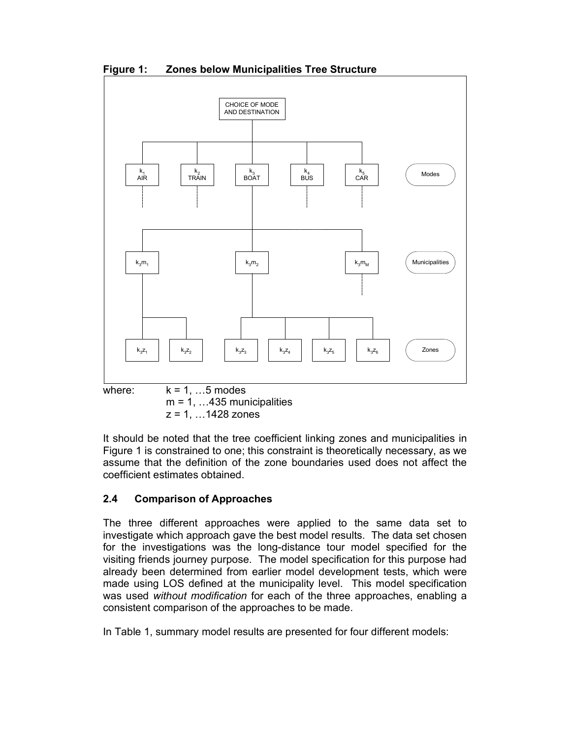Figure 1: Zones below Municipalities Tree Structure



 $z = 1, ... 1428$  zones

It should be noted that the tree coefficient linking zones and municipalities in Figure 1 is constrained to one; this constraint is theoretically necessary, as we assume that the definition of the zone boundaries used does not affect the coefficient estimates obtained.

# 2.4 Comparison of Approaches

The three different approaches were applied to the same data set to investigate which approach gave the best model results. The data set chosen for the investigations was the long-distance tour model specified for the visiting friends journey purpose. The model specification for this purpose had already been determined from earlier model development tests, which were made using LOS defined at the municipality level. This model specification was used without modification for each of the three approaches, enabling a consistent comparison of the approaches to be made.

In Table 1, summary model results are presented for four different models: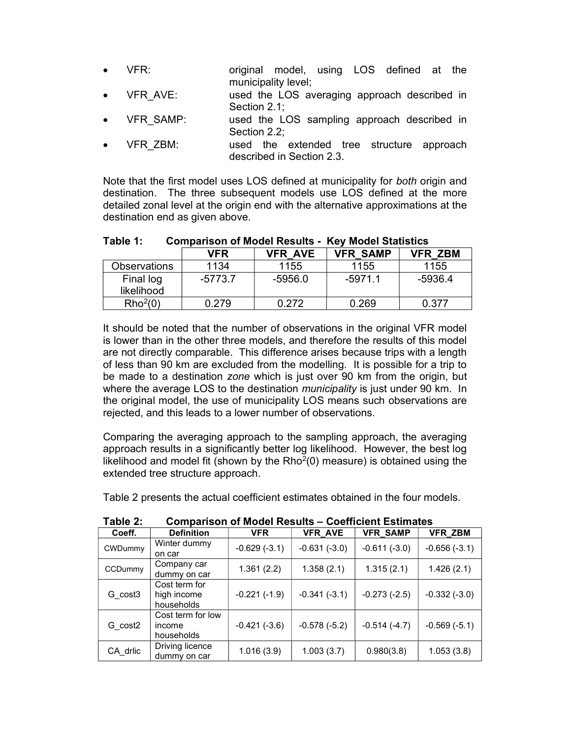- VFR: original model, using LOS defined at the municipality level;
- VFR AVE: used the LOS averaging approach described in Section 2.1;
- VFR SAMP: used the LOS sampling approach described in Section 2.2;
- VFR ZBM: used the extended tree structure approach described in Section 2.3.

Note that the first model uses LOS defined at municipality for both origin and destination. The three subsequent models use LOS defined at the more detailed zonal level at the origin end with the alternative approximations at the destination end as given above.

| Table 1: |            |                | <b>Comparison of Model Results - Key Model Statistics</b> |                |  |
|----------|------------|----------------|-----------------------------------------------------------|----------------|--|
|          | <b>VFR</b> | <b>VFR AVF</b> | <b>VFR SAMP</b>                                           | <b>VFR ZBM</b> |  |

|                         | VFR       | VFR AVE | <b>VFR SAMP</b> | VFR ZBM |
|-------------------------|-----------|---------|-----------------|---------|
| <b>Observations</b>     | 1134      | 1155    | 1155            | 1155    |
| Final log<br>likelihood | $-5773.7$ | -5956.0 | $-5971.1$       | -5936.4 |
| Rho <sup>2</sup> (0)    | 0 279     | በ 272   | 0.269           | በ 377   |
|                         |           |         |                 |         |

It should be noted that the number of observations in the original VFR model is lower than in the other three models, and therefore the results of this model are not directly comparable. This difference arises because trips with a length of less than 90 km are excluded from the modelling. It is possible for a trip to be made to a destination zone which is just over 90 km from the origin, but where the average LOS to the destination *municipality* is just under 90 km. In the original model, the use of municipality LOS means such observations are rejected, and this leads to a lower number of observations.

Comparing the averaging approach to the sampling approach, the averaging approach results in a significantly better log likelihood. However, the best log likelihood and model fit (shown by the  $Rho<sup>2</sup>(0)$  measure) is obtained using the extended tree structure approach.

Table 2 presents the actual coefficient estimates obtained in the four models.

| able 2:             | Comparison of Model Results – Coefficient Estimates |                |                |                 |                |
|---------------------|-----------------------------------------------------|----------------|----------------|-----------------|----------------|
| Coeff.              | <b>Definition</b>                                   | <b>VFR</b>     | <b>VFR AVE</b> | <b>VFR SAMP</b> | <b>VFR ZBM</b> |
| <b>CWDummy</b>      | Winter dummy<br>on car                              | $-0.629(-3.1)$ | $-0.631(-3.0)$ | $-0.611(-3.0)$  | $-0.656(-3.1)$ |
| CCDummy             | Company car<br>dummy on car                         | 1.361(2.2)     | 1.358(2.1)     | 1.315(2.1)      | 1.426(2.1)     |
| G cost3             | Cost term for<br>high income<br>households          | $-0.221(-1.9)$ | $-0.341(-3.1)$ | $-0.273(-2.5)$  | $-0.332(-3.0)$ |
| G cost <sub>2</sub> | Cost term for low<br>income<br>households           | $-0.421(-3.6)$ | $-0.578(-5.2)$ | $-0.514(-4.7)$  | $-0.569(-5.1)$ |
| CA_drlic            | Driving licence<br>dummy on car                     | 1.016(3.9)     | 1.003(3.7)     | 0.980(3.8)      | 1.053(3.8)     |

Table 2: Comparison of Model Results – Coefficient Estimates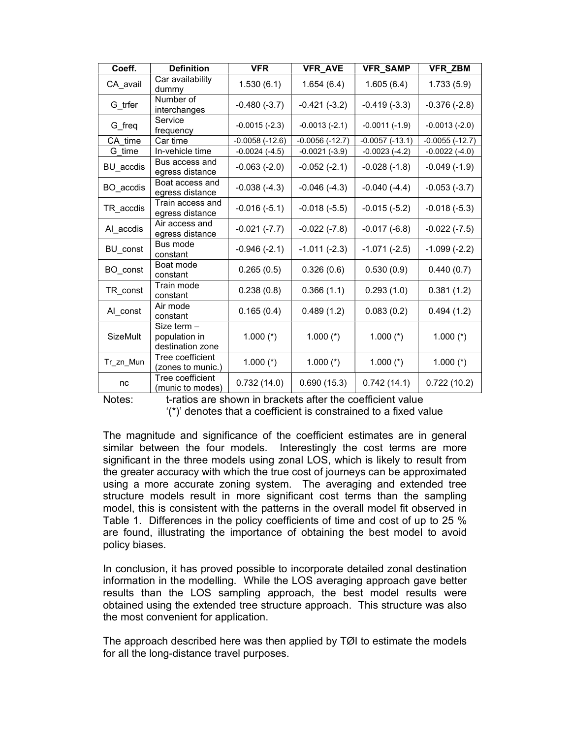| Coeff.          | <b>Definition</b>                                | <b>VFR</b>         | <b>VFR_AVE</b>   | <b>VFR_SAMP</b>  | <b>VFR_ZBM</b>        |
|-----------------|--------------------------------------------------|--------------------|------------------|------------------|-----------------------|
| CA_avail        | Car availability<br>dummy                        | 1.530(6.1)         | 1.654(6.4)       | 1.605(6.4)       | 1.733(5.9)            |
| G trfer         | Number of<br>interchanges                        | $-0.480(-3.7)$     | $-0.421(-3.2)$   | $-0.419(-3.3)$   | $-0.376(-2.8)$        |
| G_freq          | Service<br>frequency                             | $-0.0015(-2.3)$    | $-0.0013(-2.1)$  | $-0.0011(-1.9)$  | $-0.0013(-2.0)$       |
| CA time         | Car time                                         | $-0.0058(-12.6)$   | $-0.0056(-12.7)$ | $-0.0057(-13.1)$ | $-0.0055$ ( $-12.7$ ) |
| G time          | In-vehicle time                                  | $-0.0024$ $(-4.5)$ | $-0.0021(-3.9)$  | $-0.0023(-4.2)$  | $-0.0022$ $(-4.0)$    |
| BU accdis       | Bus access and<br>egress distance                | $-0.063(-2.0)$     | $-0.052(-2.1)$   | $-0.028(-1.8)$   | $-0.049(-1.9)$        |
| BO accdis       | Boat access and<br>egress distance               | $-0.038(-4.3)$     | $-0.046(-4.3)$   | $-0.040(-4.4)$   | $-0.053(-3.7)$        |
| TR accdis       | Train access and<br>egress distance              | $-0.016(-5.1)$     | $-0.018(-5.5)$   | $-0.015(-5.2)$   | $-0.018(-5.3)$        |
| Al accdis       | Air access and<br>egress distance                | $-0.021(-7.7)$     | $-0.022(-7.8)$   | $-0.017(-6.8)$   | $-0.022(-7.5)$        |
| BU const        | Bus mode<br>constant                             | $-0.946(-2.1)$     | $-1.011(-2.3)$   | $-1.071(-2.5)$   | $-1.099(-2.2)$        |
| BO const        | Boat mode<br>constant                            | 0.265(0.5)         | 0.326(0.6)       | 0.530(0.9)       | 0.440(0.7)            |
| TR const        | Train mode<br>constant                           | 0.238(0.8)         | 0.366(1.1)       | 0.293(1.0)       | 0.381(1.2)            |
| Al_const        | Air mode<br>constant                             | 0.165(0.4)         | 0.489(1.2)       | 0.083(0.2)       | 0.494(1.2)            |
| <b>SizeMult</b> | Size term -<br>population in<br>destination zone | $1.000$ (*)        | 1.000 $(*)$      | 1.000 $(*)$      | 1.000 $(*)$           |
| Tr_zn_Mun       | Tree coefficient<br>(zones to munic.)            | $1.000$ (*)        | 1.000 $(*)$      | 1.000 $(*)$      | 1.000 $(*)$           |
| nc              | Tree coefficient<br>(munic to modes)             | 0.732(14.0)        | 0.690(15.3)      | 0.742(14.1)      | 0.722(10.2)           |

Notes: t-ratios are shown in brackets after the coefficient value '(\*)' denotes that a coefficient is constrained to a fixed value

The magnitude and significance of the coefficient estimates are in general similar between the four models. Interestingly the cost terms are more significant in the three models using zonal LOS, which is likely to result from the greater accuracy with which the true cost of journeys can be approximated using a more accurate zoning system. The averaging and extended tree structure models result in more significant cost terms than the sampling model, this is consistent with the patterns in the overall model fit observed in Table 1. Differences in the policy coefficients of time and cost of up to 25 % are found, illustrating the importance of obtaining the best model to avoid policy biases.

In conclusion, it has proved possible to incorporate detailed zonal destination information in the modelling. While the LOS averaging approach gave better results than the LOS sampling approach, the best model results were obtained using the extended tree structure approach. This structure was also the most convenient for application.

The approach described here was then applied by TØI to estimate the models for all the long-distance travel purposes.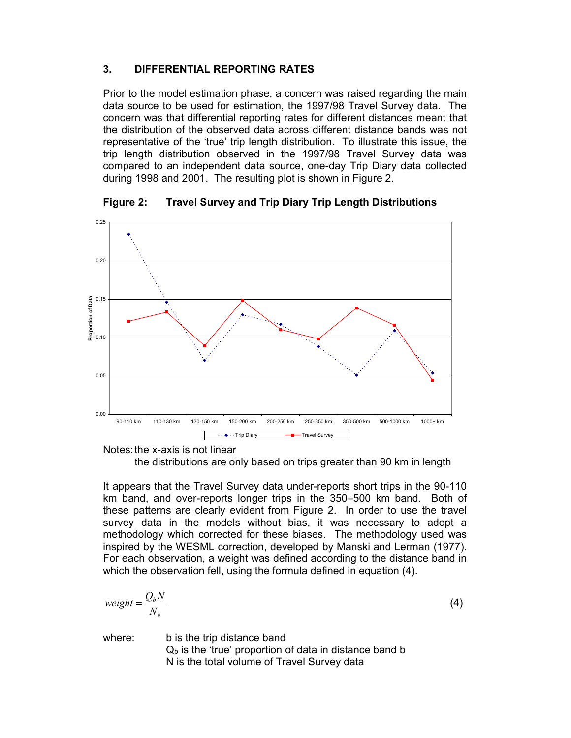# 3. DIFFERENTIAL REPORTING RATES

Prior to the model estimation phase, a concern was raised regarding the main data source to be used for estimation, the 1997/98 Travel Survey data. The concern was that differential reporting rates for different distances meant that the distribution of the observed data across different distance bands was not representative of the 'true' trip length distribution. To illustrate this issue, the trip length distribution observed in the 1997/98 Travel Survey data was compared to an independent data source, one-day Trip Diary data collected during 1998 and 2001. The resulting plot is shown in Figure 2.



Figure 2: Travel Survey and Trip Diary Trip Length Distributions

Notes: the x-axis is not linear

the distributions are only based on trips greater than 90 km in length

It appears that the Travel Survey data under-reports short trips in the 90-110 km band, and over-reports longer trips in the 350–500 km band. Both of these patterns are clearly evident from Figure 2. In order to use the travel survey data in the models without bias, it was necessary to adopt a methodology which corrected for these biases. The methodology used was inspired by the WESML correction, developed by Manski and Lerman (1977). For each observation, a weight was defined according to the distance band in which the observation fell, using the formula defined in equation (4).

$$
weight = \frac{Q_b N}{N_b} \tag{4}
$$

where: b is the trip distance band  $Q<sub>b</sub>$  is the 'true' proportion of data in distance band b N is the total volume of Travel Survey data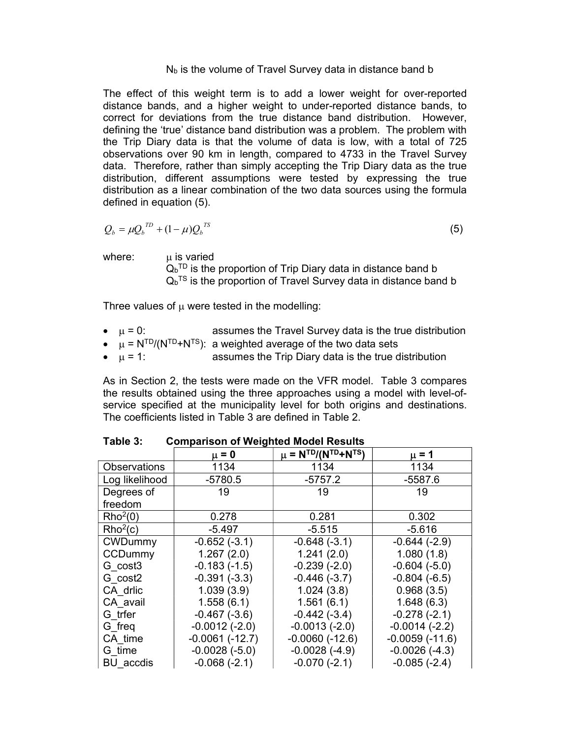#### $N<sub>b</sub>$  is the volume of Travel Survey data in distance band b

The effect of this weight term is to add a lower weight for over-reported distance bands, and a higher weight to under-reported distance bands, to correct for deviations from the true distance band distribution. However, defining the 'true' distance band distribution was a problem. The problem with the Trip Diary data is that the volume of data is low, with a total of 725 observations over 90 km in length, compared to 4733 in the Travel Survey data. Therefore, rather than simply accepting the Trip Diary data as the true distribution, different assumptions were tested by expressing the true distribution as a linear combination of the two data sources using the formula defined in equation (5).

$$
Q_b = \mu Q_b^{\text{ID}} + (1 - \mu)Q_b^{\text{TS}}
$$
\n
$$
\tag{5}
$$

where:  $\mu$  is varied

 $\mathsf{Q}_\mathsf{b}{}^{\mathsf{T}\mathsf{D}}$  is the proportion of Trip Diary data in distance band b  $\mathsf{Q}_\mathrm{b}^{\intercal\mathrm{S}}$  is the proportion of Travel Survey data in distance band b

Three values of  $\mu$  were tested in the modelling:

- $\mu = 0$ : assumes the Travel Survey data is the true distribution
- $\bullet$   $\mu$  = N<sup>TD</sup>/(N<sup>TD</sup>+N<sup>TS</sup>): a weighted average of the two data sets
- $\bullet$   $\mu$  = 1: assumes the Trip Diary data is the true distribution

As in Section 2, the tests were made on the VFR model. Table 3 compares the results obtained using the three approaches using a model with level-ofservice specified at the municipality level for both origins and destinations. The coefficients listed in Table 3 are defined in Table 2.

|                      | $\mu = 0$        | $\mu = N^{TD}/(N^{TD}+N^{TS})$ | $\mu$ = 1        |
|----------------------|------------------|--------------------------------|------------------|
| <b>Observations</b>  | 1134             | 1134                           | 1134             |
| Log likelihood       | $-5780.5$        | $-5757.2$                      | $-5587.6$        |
| Degrees of           | 19               | 19                             | 19               |
| freedom              |                  |                                |                  |
| Rho <sup>2</sup> (0) | 0.278            | 0.281                          | 0.302            |
| Rho <sup>2</sup> (c) | $-5.497$         | $-5.515$                       | $-5.616$         |
| <b>CWDummy</b>       | $-0.652(-3.1)$   | $-0.648(-3.1)$                 | $-0.644(-2.9)$   |
| CCDummy              | 1.267(2.0)       | 1.241(2.0)                     | 1.080(1.8)       |
| G cost3              | $-0.183(-1.5)$   | $-0.239(-2.0)$                 | $-0.604(-5.0)$   |
| G cost2              | $-0.391(-3.3)$   | $-0.446(-3.7)$                 | $-0.804(-6.5)$   |
| CA drlic             | 1.039(3.9)       | 1.024(3.8)                     | 0.968(3.5)       |
| CA avail             | 1.558(6.1)       | 1.561(6.1)                     | 1.648(6.3)       |
| G trfer              | $-0.467(-3.6)$   | $-0.442(-3.4)$                 | $-0.278(-2.1)$   |
| G freq               | $-0.0012(-2.0)$  | $-0.0013(-2.0)$                | $-0.0014(-2.2)$  |
| CA time              | $-0.0061(-12.7)$ | $-0.0060(-12.6)$               | $-0.0059(-11.6)$ |
| G time               | $-0.0028(-5.0)$  | $-0.0028(-4.9)$                | $-0.0026(-4.3)$  |
| BU accdis            | $-0.068(-2.1)$   | $-0.070(-2.1)$                 | $-0.085(-2.4)$   |

Table 3: Comparison of Weighted Model Results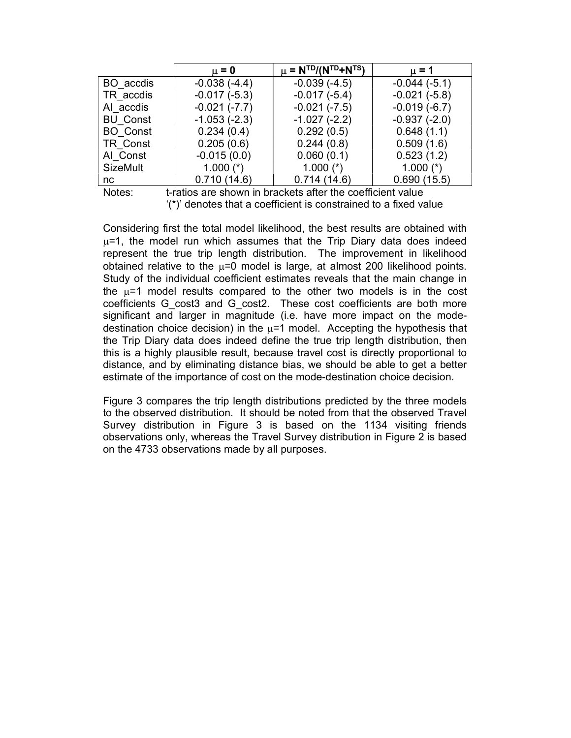|                 | $\mu = 0$      | $\mu = N^{TD}/(N^{TD} + N^{TS})$ | $\mu = 1$      |
|-----------------|----------------|----------------------------------|----------------|
| BO accdis       | $-0.038(-4.4)$ | $-0.039(-4.5)$                   | $-0.044(-5.1)$ |
| TR accdis       | $-0.017(-5.3)$ | $-0.017(-5.4)$                   | $-0.021(-5.8)$ |
| AI accdis       | $-0.021(-7.7)$ | $-0.021(-7.5)$                   | $-0.019(-6.7)$ |
| <b>BU Const</b> | $-1.053(-2.3)$ | $-1.027(-2.2)$                   | $-0.937(-2.0)$ |
| <b>BO</b> Const | 0.234(0.4)     | 0.292(0.5)                       | 0.648(1.1)     |
| TR Const        | 0.205(0.6)     | 0.244(0.8)                       | 0.509(1.6)     |
| Al Const        | $-0.015(0.0)$  | 0.060(0.1)                       | 0.523(1.2)     |
| <b>SizeMult</b> | 1.000 $(*)$    | 1.000 $(*)$                      | 1.000 $(*)$    |
| nc.             | 0.710(14.6)    | 0.714(14.6)                      | 0.690(15.5)    |

Notes: t-ratios are shown in brackets after the coefficient value '(\*)' denotes that a coefficient is constrained to a fixed value

Considering first the total model likelihood, the best results are obtained with  $\mu$ =1, the model run which assumes that the Trip Diary data does indeed represent the true trip length distribution. The improvement in likelihood obtained relative to the  $\mu$ =0 model is large, at almost 200 likelihood points. Study of the individual coefficient estimates reveals that the main change in the  $\mu$ =1 model results compared to the other two models is in the cost coefficients G\_cost3 and G\_cost2. These cost coefficients are both more significant and larger in magnitude (i.e. have more impact on the modedestination choice decision) in the  $\mu$ =1 model. Accepting the hypothesis that the Trip Diary data does indeed define the true trip length distribution, then this is a highly plausible result, because travel cost is directly proportional to distance, and by eliminating distance bias, we should be able to get a better estimate of the importance of cost on the mode-destination choice decision.

Figure 3 compares the trip length distributions predicted by the three models to the observed distribution. It should be noted from that the observed Travel Survey distribution in Figure 3 is based on the 1134 visiting friends observations only, whereas the Travel Survey distribution in Figure 2 is based on the 4733 observations made by all purposes.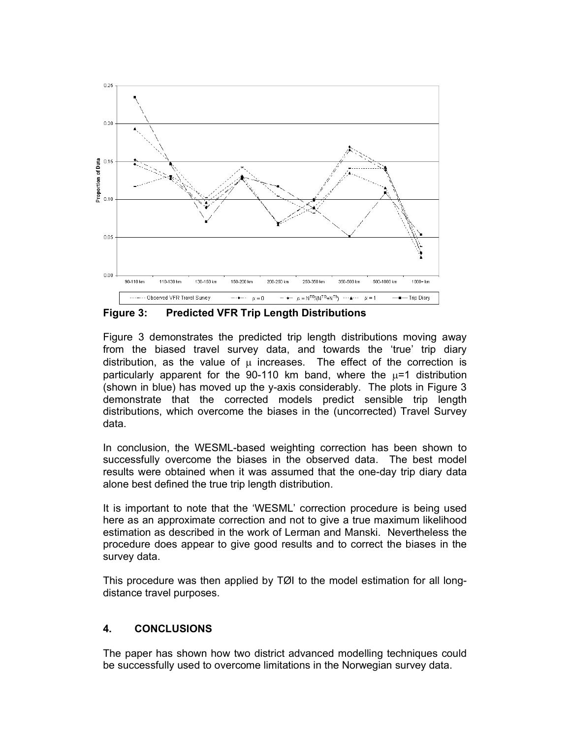

Figure 3: Predicted VFR Trip Length Distributions

Figure 3 demonstrates the predicted trip length distributions moving away from the biased travel survey data, and towards the 'true' trip diary distribution, as the value of  $\mu$  increases. The effect of the correction is particularly apparent for the 90-110 km band, where the  $\mu$ =1 distribution (shown in blue) has moved up the y-axis considerably. The plots in Figure 3 demonstrate that the corrected models predict sensible trip length distributions, which overcome the biases in the (uncorrected) Travel Survey data.

In conclusion, the WESML-based weighting correction has been shown to successfully overcome the biases in the observed data. The best model results were obtained when it was assumed that the one-day trip diary data alone best defined the true trip length distribution.

It is important to note that the 'WESML' correction procedure is being used here as an approximate correction and not to give a true maximum likelihood estimation as described in the work of Lerman and Manski. Nevertheless the procedure does appear to give good results and to correct the biases in the survey data.

This procedure was then applied by TØI to the model estimation for all longdistance travel purposes.

# 4. CONCLUSIONS

The paper has shown how two district advanced modelling techniques could be successfully used to overcome limitations in the Norwegian survey data.